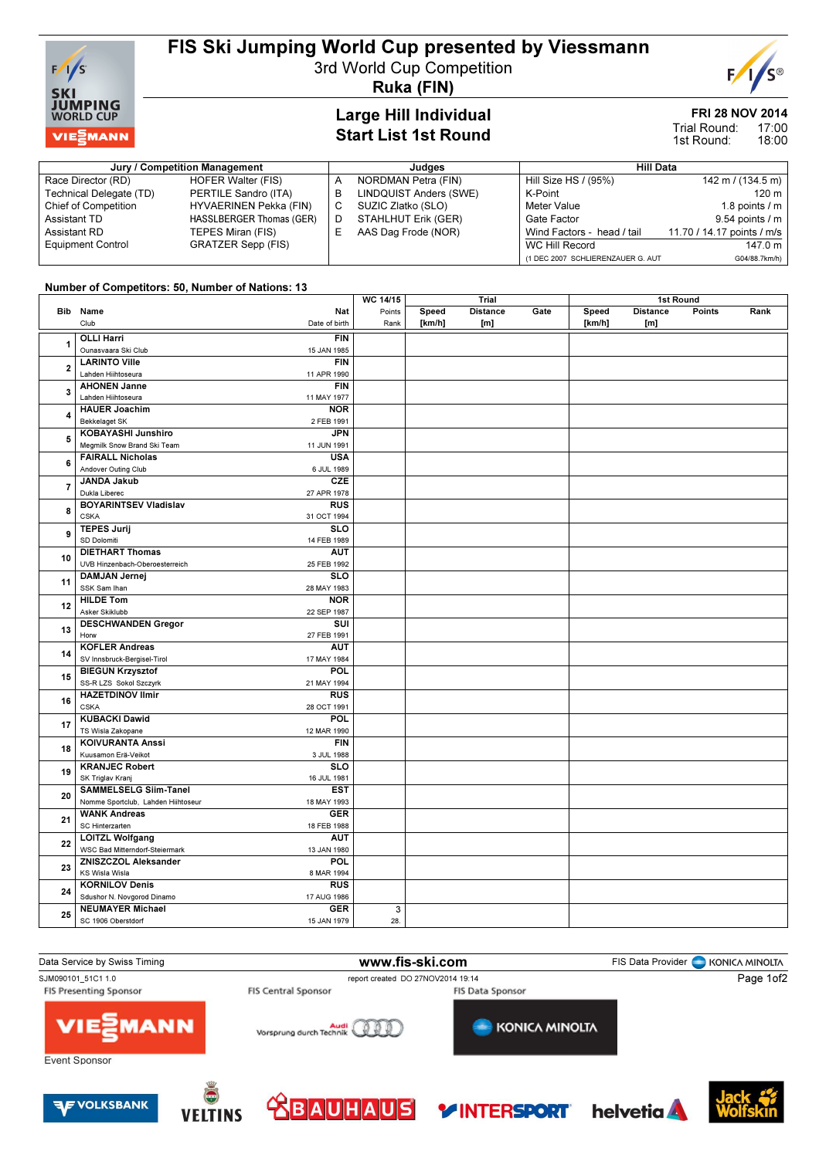

# FIS Ski Jumping World Cup presented by Viessmann

3rd World Cup Competition



Ruka (FIN)

#### Large Hill Individual Start List 1st Round

### FRI 28 NOV 2014

17:00 18:00 Trial Round: 1st Round:

| Jury / Competition Management |                           |    | Judaes                 |                                   | <b>Hill Data</b>            |  |  |
|-------------------------------|---------------------------|----|------------------------|-----------------------------------|-----------------------------|--|--|
| Race Director (RD)            | <b>HOFER Walter (FIS)</b> |    | NORDMAN Petra (FIN)    | Hill Size HS / (95%)              | $142 \text{ m}$ / (134.5 m) |  |  |
| Technical Delegate (TD)       | PERTILE Sandro (ITA)      | в  | LINDQUIST Anders (SWE) | K-Point                           | 120 m                       |  |  |
| <b>Chief of Competition</b>   | HYVAERINEN Pekka (FIN)    | C. | SUZIC Zlatko (SLO)     | Meter Value                       | 1.8 points $/m$             |  |  |
| Assistant TD                  | HASSLBERGER Thomas (GER)  | D  | STAHLHUT Erik (GER)    | Gate Factor                       | $9.54$ points / m           |  |  |
| Assistant RD                  | TEPES Miran (FIS)         |    | AAS Dag Frode (NOR)    | Wind Factors - head / tail        | 11.70 / 14.17 points / m/s  |  |  |
| <b>Equipment Control</b>      | GRATZER Sepp (FIS)        |    |                        | WC Hill Record                    | 147.0 m                     |  |  |
|                               |                           |    |                        | (1 DEC 2007 SCHLIERENZAUER G. AUT | G04/88.7km/h)               |  |  |

### Number of Competitors: 50, Number of Nations: 13

|                         | <b>Hambor of Componions, 60, Nambor of Nations.</b> To |               | <b>WC 14/15</b> |        | <b>Trial</b>    |      |        | 1st Round       |        |      |
|-------------------------|--------------------------------------------------------|---------------|-----------------|--------|-----------------|------|--------|-----------------|--------|------|
|                         | Bib Name                                               | Nat           | Points          | Speed  | <b>Distance</b> | Gate | Speed  | <b>Distance</b> | Points | Rank |
|                         | Club                                                   | Date of birth |                 |        |                 |      |        |                 |        |      |
|                         |                                                        |               | Rank            | [km/h] | [m]             |      | [km/h] | [m]             |        |      |
| 1                       | <b>OLLI Harri</b>                                      | <b>FIN</b>    |                 |        |                 |      |        |                 |        |      |
|                         | Ounasvaara Ski Club                                    | 15 JAN 1985   |                 |        |                 |      |        |                 |        |      |
|                         | <b>LARINTO Ville</b>                                   | <b>FIN</b>    |                 |        |                 |      |        |                 |        |      |
| $\overline{\mathbf{2}}$ | Lahden Hiihtoseura                                     | 11 APR 1990   |                 |        |                 |      |        |                 |        |      |
|                         | <b>AHONEN Janne</b>                                    | <b>FIN</b>    |                 |        |                 |      |        |                 |        |      |
| 3                       | Lahden Hiihtoseura                                     | 11 MAY 1977   |                 |        |                 |      |        |                 |        |      |
|                         | <b>HAUER Joachim</b>                                   | <b>NOR</b>    |                 |        |                 |      |        |                 |        |      |
| 4                       | <b>Bekkelaget SK</b>                                   | 2 FEB 1991    |                 |        |                 |      |        |                 |        |      |
|                         | KOBAYASHI Junshiro                                     | <b>JPN</b>    |                 |        |                 |      |        |                 |        |      |
| 5                       | Megmilk Snow Brand Ski Team                            | 11 JUN 1991   |                 |        |                 |      |        |                 |        |      |
|                         | <b>FAIRALL Nicholas</b>                                | <b>USA</b>    |                 |        |                 |      |        |                 |        |      |
| 6                       | Andover Outing Club                                    | 6 JUL 1989    |                 |        |                 |      |        |                 |        |      |
|                         | <b>JANDA Jakub</b>                                     | CZE           |                 |        |                 |      |        |                 |        |      |
| $\overline{7}$          | Dukla Liberec                                          | 27 APR 1978   |                 |        |                 |      |        |                 |        |      |
|                         | <b>BOYARINTSEV Vladislav</b>                           | <b>RUS</b>    |                 |        |                 |      |        |                 |        |      |
| 8                       | <b>CSKA</b>                                            | 31 OCT 1994   |                 |        |                 |      |        |                 |        |      |
|                         | <b>TEPES Jurij</b>                                     | <b>SLO</b>    |                 |        |                 |      |        |                 |        |      |
| 9                       | SD Dolomiti                                            | 14 FEB 1989   |                 |        |                 |      |        |                 |        |      |
|                         | <b>DIETHART Thomas</b>                                 | <b>AUT</b>    |                 |        |                 |      |        |                 |        |      |
| 10                      |                                                        |               |                 |        |                 |      |        |                 |        |      |
|                         | UVB Hinzenbach-Oberoesterreich                         | 25 FEB 1992   |                 |        |                 |      |        |                 |        |      |
| 11                      | <b>DAMJAN Jernej</b>                                   | SLO           |                 |        |                 |      |        |                 |        |      |
|                         | SSK Sam Ihan                                           | 28 MAY 1983   |                 |        |                 |      |        |                 |        |      |
| 12                      | <b>HILDE Tom</b>                                       | <b>NOR</b>    |                 |        |                 |      |        |                 |        |      |
|                         | Asker Skiklubb                                         | 22 SEP 1987   |                 |        |                 |      |        |                 |        |      |
| 13                      | <b>DESCHWANDEN Gregor</b>                              | SUI           |                 |        |                 |      |        |                 |        |      |
|                         | Horw                                                   | 27 FEB 1991   |                 |        |                 |      |        |                 |        |      |
| 14                      | <b>KOFLER Andreas</b>                                  | <b>AUT</b>    |                 |        |                 |      |        |                 |        |      |
|                         | SV Innsbruck-Bergisel-Tirol                            | 17 MAY 1984   |                 |        |                 |      |        |                 |        |      |
| 15                      | <b>BIEGUN Krzysztof</b>                                | <b>POL</b>    |                 |        |                 |      |        |                 |        |      |
|                         | SS-R LZS Sokol Szczyrk                                 | 21 MAY 1994   |                 |        |                 |      |        |                 |        |      |
| 16                      | <b>HAZETDINOV Ilmir</b>                                | <b>RUS</b>    |                 |        |                 |      |        |                 |        |      |
|                         | <b>CSKA</b>                                            | 28 OCT 1991   |                 |        |                 |      |        |                 |        |      |
|                         | <b>KUBACKI Dawid</b>                                   | POL           |                 |        |                 |      |        |                 |        |      |
| 17                      | TS Wisla Zakopane                                      | 12 MAR 1990   |                 |        |                 |      |        |                 |        |      |
|                         | <b>KOIVURANTA Anssi</b>                                | <b>FIN</b>    |                 |        |                 |      |        |                 |        |      |
| 18                      | Kuusamon Erä-Veikot                                    | 3 JUL 1988    |                 |        |                 |      |        |                 |        |      |
|                         | <b>KRANJEC Robert</b>                                  | <b>SLO</b>    |                 |        |                 |      |        |                 |        |      |
| 19                      | SK Triglav Kranj                                       | 16 JUL 1981   |                 |        |                 |      |        |                 |        |      |
|                         | <b>SAMMELSELG Siim-Tanel</b>                           | <b>EST</b>    |                 |        |                 |      |        |                 |        |      |
| 20                      | Nomme Sportclub, Lahden Hiihtoseur                     | 18 MAY 1993   |                 |        |                 |      |        |                 |        |      |
|                         | <b>WANK Andreas</b>                                    | <b>GER</b>    |                 |        |                 |      |        |                 |        |      |
| 21                      | SC Hinterzarten                                        | 18 FEB 1988   |                 |        |                 |      |        |                 |        |      |
|                         | <b>LOITZL Wolfgang</b>                                 | <b>AUT</b>    |                 |        |                 |      |        |                 |        |      |
| 22                      | WSC Bad Mitterndorf-Steiermark                         | 13 JAN 1980   |                 |        |                 |      |        |                 |        |      |
|                         | ZNISZCZOL Aleksander                                   | POL           |                 |        |                 |      |        |                 |        |      |
| 23                      | KS Wisla Wisla                                         | 8 MAR 1994    |                 |        |                 |      |        |                 |        |      |
| 24                      |                                                        |               |                 |        |                 |      |        |                 |        |      |
|                         | <b>KORNILOV Denis</b>                                  | <b>RUS</b>    |                 |        |                 |      |        |                 |        |      |
|                         | Sdushor N. Novgorod Dinamo                             | 17 AUG 1986   |                 |        |                 |      |        |                 |        |      |
| 25                      | <b>NEUMAYER Michael</b>                                | <b>GER</b>    | $\overline{3}$  |        |                 |      |        |                 |        |      |
|                         | SC 1906 Oberstdorf                                     | 15 JAN 1979   | 28.             |        |                 |      |        |                 |        |      |